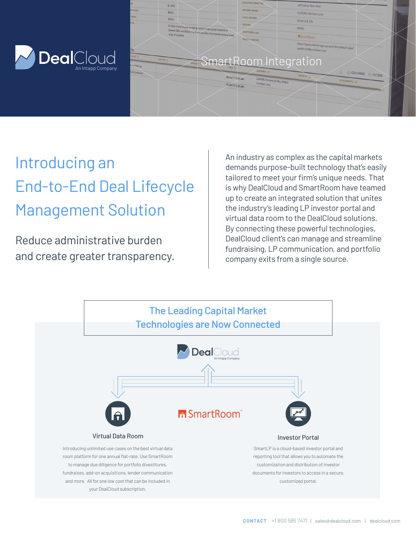



# Introducing an End-to-End Deal Lifecycle Management Solution

Reduce administrative burden and create greater transparency.

An industry as complex as the capital markets demands purpose-built technology that's easily tailored to meet your firm's unique needs. That is why DealCloud and SmartRoom have teamed up to create an integrated solution that unites the industry's leading LP investor portal and virtual data room to the DealCloud solutions. By connecting these powerful technologies, DealCloud client's can manage and streamline fundraising, LP communication, and portfolio company exits from a single source.